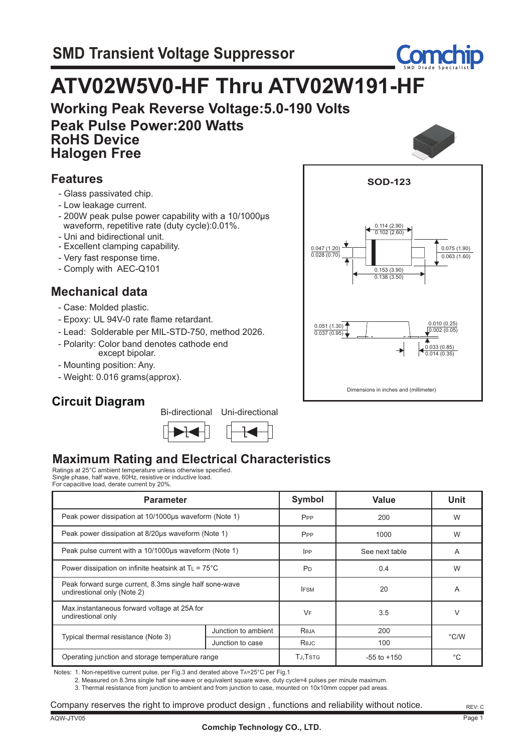

# **ATV02W5V0-HF Thru ATV02W191-HF**

**Working Peak Reverse Voltage:5.0-190 Volts Peak Pulse Power:200 Watts RoHS Device Halogen Free**

### **Features**

- Glass passivated chip.
- Low leakage current.
- 200W peak pulse power capability with a 10/1000µs waveform, repetitive rate (duty cycle):0.01%.
- Uni and bidirectional unit.
- Excellent clamping capability.
- Very fast response time.
- Comply with AEC-Q101

### **Mechanical data**

- Case: Molded plastic.
- Epoxy: UL 94V-0 rate flame retardant.
- Lead: Solderable per MIL-STD-750, method 2026.
- Polarity: Color band denotes cathode end except bipolar.
- Mounting position: Any.
- Weight: 0.016 grams(approx).

### **Circuit Diagram**

Bi-directional Uni-directional







### **Maximum Rating and Electrical Characteristics**

Ratings at 25°C ambient temperature unless otherwise specified. Single phase, half wave, 60Hz, resistive or inductive load. For capacitive load, derate current by 20%.

| <b>Parameter</b>                                                                       | <b>Symbol</b>       | Value           | <b>Unit</b> |      |  |
|----------------------------------------------------------------------------------------|---------------------|-----------------|-------------|------|--|
| Peak power dissipation at 10/1000µs waveform (Note 1)                                  | P <sub>PP</sub>     | 200             | W           |      |  |
| Peak power dissipation at 8/20us waveform (Note 1)                                     | P <sub>PP</sub>     | 1000            | W           |      |  |
| Peak pulse current with a 10/1000µs waveform (Note 1)                                  | <b>IPP</b>          | See next table  | A           |      |  |
| Power dissipation on infinite heatsink at $T_L = 75^{\circ}$ C                         | P <sub>D</sub>      | 0.4             | W           |      |  |
| Peak forward surge current, 8.3ms single half sone-wave<br>undirestional only (Note 2) | <b>IFSM</b>         | 20              | A           |      |  |
| Max.instantaneous forward voltage at 25A for<br>undirestional only                     | VF                  | 3.5             | V           |      |  |
|                                                                                        | Junction to ambient | Reja            | 200         | °C/W |  |
| Typical thermal resistance (Note 3)                                                    | Junction to case    | Rejc            | 100         |      |  |
| Operating junction and storage temperature range                                       | <b>TJ.TSTG</b>      | $-55$ to $+150$ | °C          |      |  |

Notes: 1. Non-repetitive current pulse, per Fig.3 and derated above TA=25°C per Fig.1

2. Measured on 8.3ms single half sine-wave or equivalent square wave, duty cycle=4 pulses per minute maximum.

3. Thermal resistance from junction to ambient and from junction to case, mounted on 10x10mm copper pad areas.

Company reserves the right to improve product design , functions and reliability without notice.

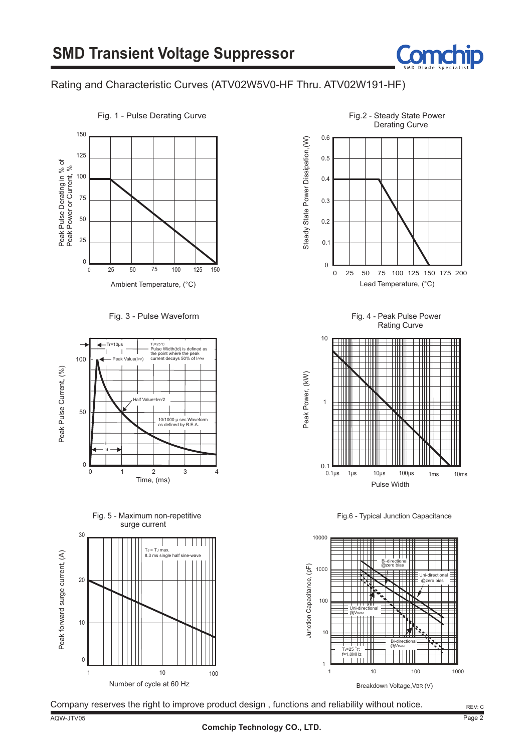

#### Rating and Characteristic Curves (ATV02W5V0-HF Thru. ATV02W191-HF)



Fig. 1 - Pulse Derating Curve

Fig. 3 - Pulse Waveform







Fig. 4 - Peak Pulse Power Rating Curve



Fig.6 - Typical Junction Capacitance



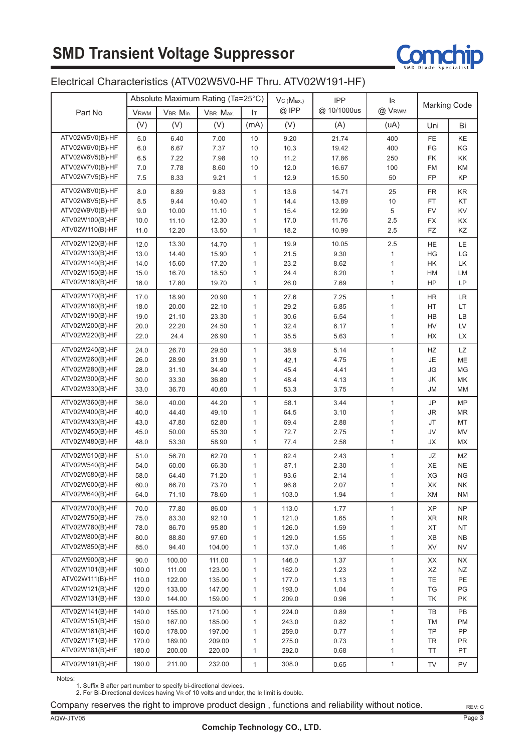# **SMD Transient Voltage Suppressor**



#### Electrical Characteristics (ATV02W5V0-HF Thru. ATV02W191-HF)

|                                    |                |                  | Absolute Maximum Rating (Ta=25°C) |              | Vc(Max.)       | <b>IPP</b>   | lR.                          |                     |                  |
|------------------------------------|----------------|------------------|-----------------------------------|--------------|----------------|--------------|------------------------------|---------------------|------------------|
| Part No                            | <b>VRWM</b>    | VBR Min.         | VBR Max.                          | Iт           | $@$ IPP        | @ 10/1000us  | @ VRWM                       | <b>Marking Code</b> |                  |
|                                    | (V)            | (V)              | (V)                               | (mA)         | (V)            | (A)          | (uA)                         | Uni                 | Bi               |
| ATV02W5V0(B)-HF                    | 5.0            | 6.40             | 7.00                              | 10           | 9.20           | 21.74        | 400                          | FE.                 | KE               |
| ATV02W6V0(B)-HF                    | 6.0            | 6.67             | 7.37                              | 10           | 10.3           | 19.42        | 400                          | FG                  | ΚG               |
| ATV02W6V5(B)-HF                    | 6.5            | 7.22             | 7.98                              | 10           | 11.2           | 17.86        | 250                          | FK                  | ΚK               |
| ATV02W7V0(B)-HF                    | 7.0            | 7.78             | 8.60                              | 10           | 12.0           | 16.67        | 100                          | <b>FM</b>           | KM               |
| ATV02W7V5(B)-HF                    | 7.5            | 8.33             | 9.21                              | $\mathbf{1}$ | 12.9           | 15.50        | 50                           | <b>FP</b>           | КP               |
| ATV02W8V0(B)-HF                    | 8.0            | 8.89             | 9.83                              | 1            | 13.6           | 14.71        | 25                           | <b>FR</b>           | KR               |
| ATV02W8V5(B)-HF                    | 8.5            | 9.44             | 10.40                             | $\mathbf{1}$ | 14.4           | 13.89        | 10                           | <b>FT</b>           | KT               |
| ATV02W9V0(B)-HF                    | 9.0            | 10.00            | 11.10                             | 1            | 15.4           | 12.99        | 5                            | <b>FV</b>           | KV               |
| ATV02W100(B)-HF                    | 10.0           | 11.10            | 12.30                             | 1            | 17.0           | 11.76        | 2.5                          | <b>FX</b>           | KX               |
| ATV02W110(B)-HF                    | 11.0           | 12.20            | 13.50                             | 1            | 18.2           | 10.99        | 2.5                          | FZ                  | KZ               |
| ATV02W120(B)-HF                    | 12.0           | 13.30            | 14.70                             | $\mathbf{1}$ | 19.9           | 10.05        | 2.5                          | HE                  | LE               |
| ATV02W130(B)-HF                    | 13.0           | 14.40            | 15.90                             | 1            | 21.5           | 9.30         | 1                            | HG                  | LG               |
| ATV02W140(B)-HF                    | 14.0           | 15.60            | 17.20                             | 1            | 23.2           | 8.62         | $\mathbf{1}$                 | HK                  | LK               |
| ATV02W150(B)-HF                    | 15.0           | 16.70            | 18.50                             | 1            | 24.4           | 8.20         | $\mathbf{1}$                 | HM                  | LM               |
| ATV02W160(B)-HF                    | 16.0           | 17.80            | 19.70                             | $\mathbf{1}$ | 26.0           | 7.69         | $\mathbf{1}$                 | HP                  | LP               |
| ATV02W170(B)-HF                    | 17.0           | 18.90            | 20.90                             | 1            | 27.6           | 7.25         | $\mathbf{1}$                 | <b>HR</b>           | LR               |
| ATV02W180(B)-HF                    | 18.0           | 20.00            | 22.10                             | $\mathbf{1}$ | 29.2           | 6.85         | 1                            | <b>HT</b>           | LT               |
| ATV02W190(B)-HF                    | 19.0           | 21.10            | 23.30                             | 1            | 30.6           | 6.54         | $\mathbf{1}$                 | HB                  | LB               |
| ATV02W200(B)-HF                    | 20.0           | 22.20            | 24.50                             | 1            | 32.4           | 6.17         | $\mathbf{1}$                 | HV                  | ${\sf L}{\sf V}$ |
| ATV02W220(B)-HF                    | 22.0           | 24.4             | 26.90                             | $\mathbf{1}$ | 35.5           | 5.63         | 1                            | HX                  | LX               |
| ATV02W240(B)-HF                    | 24.0           | 26.70            | 29.50                             | $\mathbf{1}$ | 38.9           | 5.14         | $\mathbf{1}$                 | HZ                  | LZ               |
| ATV02W260(B)-HF                    | 26.0           | 28.90            | 31.90                             | $\mathbf{1}$ | 42.1           | 4.75         | 1                            | JE                  | ME               |
| ATV02W280(B)-HF                    | 28.0           | 31.10            | 34.40                             | 1            | 45.4           | 4.41         | $\mathbf{1}$                 | JG                  | MG               |
| ATV02W300(B)-HF                    | 30.0           | 33.30            | 36.80                             | 1            | 48.4           | 4.13         | $\mathbf{1}$                 | JK                  | МK               |
| ATV02W330(B)-HF                    | 33.0           | 36.70            | 40.60                             | $\mathbf{1}$ | 53.3           | 3.75         | $\mathbf{1}$                 | ЛU                  | MM               |
| ATV02W360(B)-HF                    | 36.0           | 40.00            | 44.20                             | 1            | 58.1           | 3.44         | 1                            | JP                  | MP               |
| ATV02W400(B)-HF                    | 40.0           | 44.40            | 49.10                             | 1            | 64.5           | 3.10         | $\mathbf{1}$                 | JR                  | <b>MR</b>        |
| ATV02W430(B)-HF                    | 43.0           | 47.80            | 52.80                             | 1            | 69.4           | 2.88         | $\mathbf{1}$                 | JT                  | MT               |
| ATV02W450(B)-HF                    | 45.0           | 50.00            | 55.30                             | 1            | 72.7           | 2.75         | $\mathbf{1}$                 | JV                  | MV               |
| ATV02W480(B)-HF                    | 48.0           | 53.30            | 58.90                             | $\mathbf{1}$ | 77.4           | 2.58         | 1                            | JХ                  | MX               |
| ATV02W510(B)-HF                    | 51.0           | 56.70            | 62.70                             | 1            | 82.4           | 2.43         | 1                            | JZ                  | ΜZ               |
| ATV02W540(B)-HF                    | 54.0           | 60.00            | 66.30                             | 1            | 87.1           | 2.30         | 1                            | XE                  | ΝE               |
| ATV02W580(B)-HF                    | 58.0           | 64.40            | 71.20                             | 1            | 93.6           | 2.14         | 1                            | XG                  | <b>NG</b>        |
| ATV02W600(B)-HF                    | 60.0           | 66.70            | 73.70                             | 1            | 96.8           | 2.07         | 1                            | XK                  | NK               |
| ATV02W640(B)-HF                    | 64.0           | 71.10            | 78.60                             | $\mathbf{1}$ | 103.0          | 1.94         | $\mathbf{1}$                 | XM                  | NM               |
| ATV02W700(B)-HF                    | 70.0           | 77.80            | 86.00                             | 1            | 113.0          | 1.77         | 1                            | XP                  | NP               |
| ATV02W750(B)-HF                    | 75.0           | 83.30            | 92.10                             | 1            | 121.0          | 1.65         | 1                            | <b>XR</b>           | NR               |
| ATV02W780(B)-HF                    | 78.0           | 86.70            | 95.80                             | 1            | 126.0          | 1.59         | $\mathbf{1}$                 | XT                  | NT               |
| ATV02W800(B)-HF                    | 80.0           | 88.80            | 97.60                             | 1            | 129.0          | 1.55         | 1                            | XB                  | NΒ               |
| ATV02W850(B)-HF                    | 85.0           | 94.40            | 104.00                            | 1            | 137.0          | 1.46         | $\mathbf{1}$                 | XV                  | <b>NV</b>        |
| ATV02W900(B)-HF                    | 90.0           | 100.00           | 111.00                            | 1            | 146.0          | 1.37         | $\mathbf{1}$                 | XX                  | NΧ               |
| ATV02W101(B)-HF                    | 100.0          | 111.00           | 123.00                            | 1            | 162.0          | 1.23         | 1                            | XZ                  | ΝZ               |
| ATV02W111(B)-HF                    | 110.0          | 122.00           | 135.00                            | 1            | 177.0          | 1.13         | $\mathbf{1}$                 | <b>TE</b>           | PE               |
| ATV02W121(B)-HF                    | 120.0          | 133.00           | 147.00                            | 1            | 193.0          | 1.04         | $\mathbf{1}$                 | TG                  | PG               |
| ATV02W131(B)-HF                    | 130.0          | 144.00           | 159.00                            | 1            | 209.0          | 0.96         | $\mathbf{1}$                 | TK                  | PK               |
| ATV02W141(B)-HF<br>ATV02W151(B)-HF | 140.0<br>150.0 | 155.00<br>167.00 | 171.00<br>185.00                  | 1<br>1       | 224.0<br>243.0 | 0.89<br>0.82 | $\mathbf{1}$<br>$\mathbf{1}$ | TB                  | PB<br>PM         |
| ATV02W161(B)-HF                    | 160.0          |                  | 197.00                            | 1            |                | 0.77         | $\mathbf{1}$                 | ТM<br>TP            | PP               |
| ATV02W171(B)-HF                    | 170.0          | 178.00<br>189.00 | 209.00                            | 1            | 259.0<br>275.0 | 0.73         | $\mathbf{1}$                 | <b>TR</b>           | PR               |
| ATV02W181(B)-HF                    | 180.0          | 200.00           | 220.00                            | 1            | 292.0          | 0.68         | $\mathbf{1}$                 | TT                  | PT               |
|                                    |                |                  |                                   |              |                |              |                              |                     |                  |
| ATV02W191(B)-HF                    | 190.0          | 211.00           | 232.00                            | 1            | 308.0          | 0.65         | $\mathbf{1}$                 | TV                  | PV               |

Notes:

1. Suffix B after part number to specify bi-directional devices.

2. For Bi-Directional devices having VR of 10 volts and under, the IR limit is double.

Company reserves the right to improve product design, functions and reliability without notice. Rev: c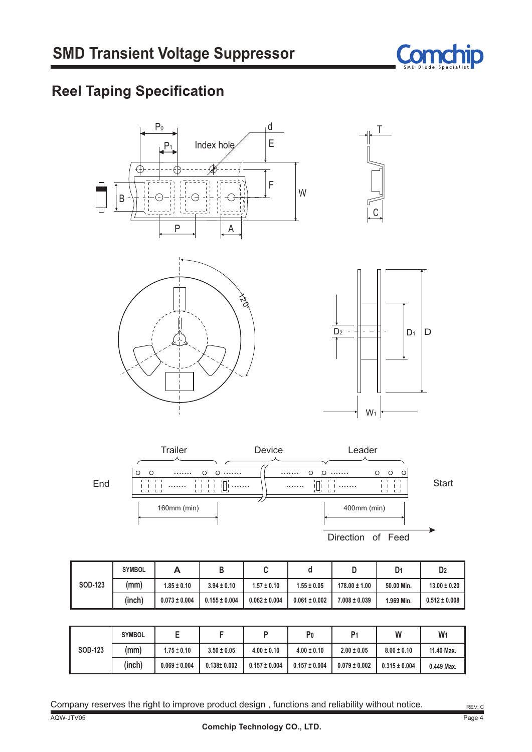

# **Reel Taping Specification**





**B C d D D1 D2 SOD-123 SYMBOL A (mm) (inch) 1.969 Min. 0.155 ± 0.004 1.55 ± 0.05 50.00 Min. 13.00 ± 0.20 178.00 ± 1.00 7.008 ± 0.039 0.512 ± 0.008 1.85 ± 0.10 0.073 ± 0.004 3.94 ± 0.10 1.57 ± 0.10 0.062 ± 0.004 0.061 ± 0.002**

|                | <b>SYMBOL</b> | ь                 |                   |                   | P٥                | P <sub>1</sub>    | W                 | W <sub>1</sub> |
|----------------|---------------|-------------------|-------------------|-------------------|-------------------|-------------------|-------------------|----------------|
| <b>SOD-123</b> | (mm)          | $1.75 \pm 0.10$   | $3.50 \pm 0.05$   | $4.00 \pm 0.10$   | $4.00 \pm 0.10$   | $2.00 \pm 0.05$   | $8.00 \pm 0.10$   | 11.40 Max.     |
|                | (inch)        | $0.069 \pm 0.004$ | $0.138 \pm 0.002$ | $0.157 \pm 0.004$ | $0.157 \pm 0.004$ | $0.079 \pm 0.002$ | $0.315 \pm 0.004$ | 0.449 Max.     |

Company reserves the right to improve product design, functions and reliability without notice.  $R_{\text{EVC}}$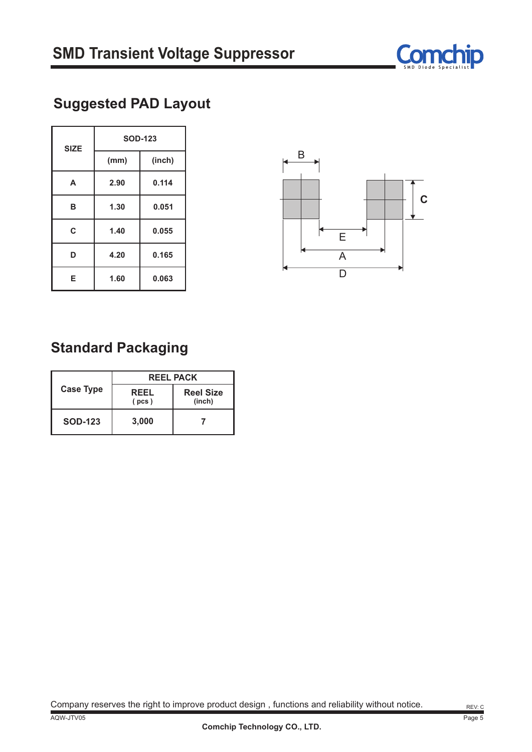

# **Suggested PAD Layout**

| <b>SIZE</b> | <b>SOD-123</b> |        |  |  |  |
|-------------|----------------|--------|--|--|--|
|             | (mm)           | (inch) |  |  |  |
| A           | 2.90           | 0.114  |  |  |  |
| B           | 1.30           | 0.051  |  |  |  |
| C           | 1.40           | 0.055  |  |  |  |
| D           | 4.20           | 0.165  |  |  |  |
| Е           | 1.60           | 0.063  |  |  |  |



## **Standard Packaging**

|                  | <b>REEL PACK</b>     |                            |  |  |  |
|------------------|----------------------|----------------------------|--|--|--|
| <b>Case Type</b> | <b>REEL</b><br>(pcs) | <b>Reel Size</b><br>(inch) |  |  |  |
| <b>SOD-123</b>   | 3,000                |                            |  |  |  |

Company reserves the right to improve product design, functions and reliability without notice. Rev: c